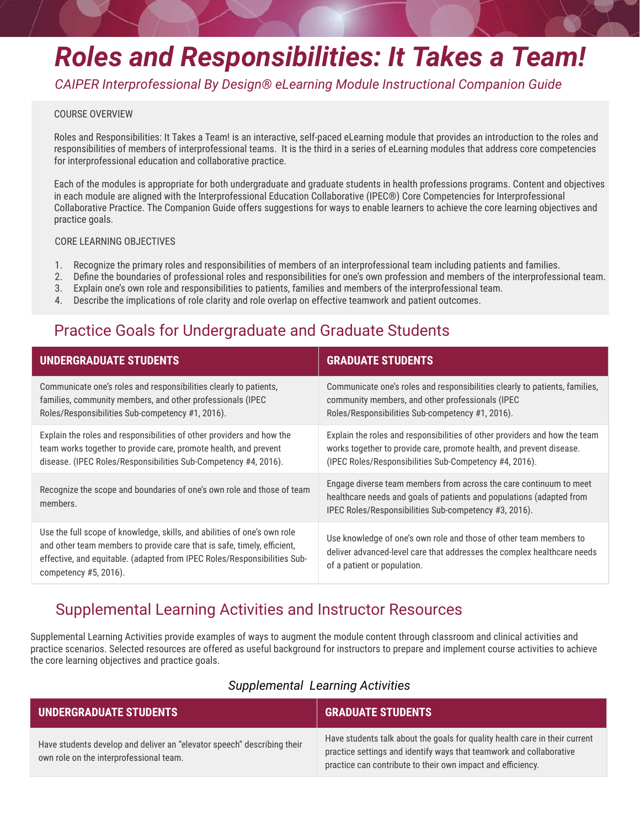# *Roles and Responsibilities: It Takes a Team!*

*CAIPER Interprofessional By Design® eLearning Module Instructional Companion Guide*

#### COURSE OVERVIEW

Roles and Responsibilities: It Takes a Team! is an interactive, self-paced eLearning module that provides an introduction to the roles and responsibilities of members of interprofessional teams. It is the third in a series of eLearning modules that address core competencies for interprofessional education and collaborative practice.

Each of the modules is appropriate for both undergraduate and graduate students in health professions programs. Content and objectives in each module are aligned with the Interprofessional Education Collaborative (IPEC®) Core Competencies for Interprofessional Collaborative Practice. The Companion Guide offers suggestions for ways to enable learners to achieve the core learning objectives and practice goals.

## CORE LEARNING OBJECTIVES

- 1. Recognize the primary roles and responsibilities of members of an interprofessional team including patients and families.
- 2. Dene the boundaries of professional roles and responsibilities for one's own profession and members of the interprofessional team.
- 3. Explain one's own role and responsibilities to patients, families and members of the interprofessional team.
- 4. Describe the implications of role clarity and role overlap on effective teamwork and patient outcomes.

# Practice Goals for Undergraduate and Graduate Students

| <b>UNDERGRADUATE STUDENTS</b>                                                                                                                                                                                                                            | <b>GRADUATE STUDENTS</b>                                                                                                                                                                                     |
|----------------------------------------------------------------------------------------------------------------------------------------------------------------------------------------------------------------------------------------------------------|--------------------------------------------------------------------------------------------------------------------------------------------------------------------------------------------------------------|
| Communicate one's roles and responsibilities clearly to patients,<br>families, community members, and other professionals (IPEC<br>Roles/Responsibilities Sub-competency #1, 2016).                                                                      | Communicate one's roles and responsibilities clearly to patients, families,<br>community members, and other professionals (IPEC<br>Roles/Responsibilities Sub-competency #1, 2016).                          |
| Explain the roles and responsibilities of other providers and how the<br>team works together to provide care, promote health, and prevent<br>disease. (IPEC Roles/Responsibilities Sub-Competency #4, 2016).                                             | Explain the roles and responsibilities of other providers and how the team<br>works together to provide care, promote health, and prevent disease.<br>(IPEC Roles/Responsibilities Sub-Competency #4, 2016). |
| Recognize the scope and boundaries of one's own role and those of team<br>members.                                                                                                                                                                       | Engage diverse team members from across the care continuum to meet<br>healthcare needs and goals of patients and populations (adapted from<br>IPEC Roles/Responsibilities Sub-competency #3, 2016).          |
| Use the full scope of knowledge, skills, and abilities of one's own role<br>and other team members to provide care that is safe, timely, efficient,<br>effective, and equitable. (adapted from IPEC Roles/Responsibilities Sub-<br>competency #5, 2016). | Use knowledge of one's own role and those of other team members to<br>deliver advanced-level care that addresses the complex healthcare needs<br>of a patient or population.                                 |

# Supplemental Learning Activities and Instructor Resources

Supplemental Learning Activities provide examples of ways to augment the module content through classroom and clinical activities and practice scenarios. Selected resources are offered as useful background for instructors to prepare and implement course activities to achieve the core learning objectives and practice goals.

| UNDERGRADUATE STUDENTS                                                                                             | <b>GRADUATE STUDENTS</b>                                                                                                                                                                                          |
|--------------------------------------------------------------------------------------------------------------------|-------------------------------------------------------------------------------------------------------------------------------------------------------------------------------------------------------------------|
| Have students develop and deliver an "elevator speech" describing their<br>own role on the interprofessional team. | Have students talk about the goals for quality health care in their current<br>practice settings and identify ways that teamwork and collaborative<br>practice can contribute to their own impact and efficiency. |

## *Supplemental Learning Activities*